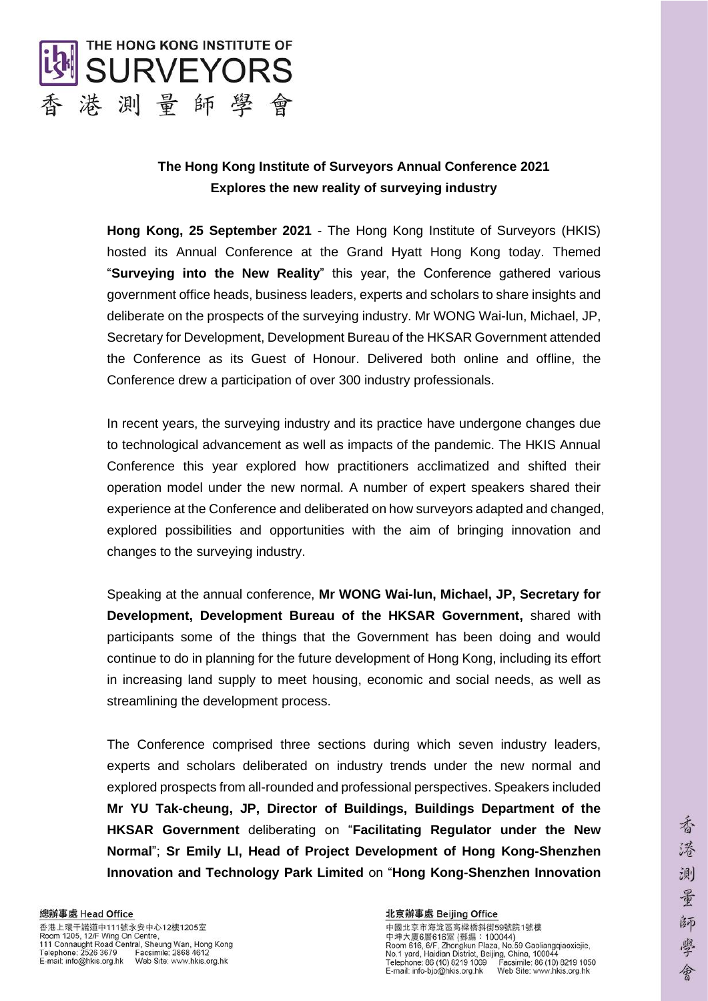

# **The Hong Kong Institute of Surveyors Annual Conference 2021 Explores the new reality of surveying industry**

**Hong Kong, 25 September 2021** - The Hong Kong Institute of Surveyors (HKIS) hosted its Annual Conference at the Grand Hyatt Hong Kong today. Themed "**Surveying into the New Reality**" this year, the Conference gathered various government office heads, business leaders, experts and scholars to share insights and deliberate on the prospects of the surveying industry. Mr WONG Wai-lun, Michael, JP, Secretary for Development, Development Bureau of the HKSAR Government attended the Conference as its Guest of Honour. Delivered both online and offline, the Conference drew a participation of over 300 industry professionals.

In recent years, the surveying industry and its practice have undergone changes due to technological advancement as well as impacts of the pandemic. The HKIS Annual Conference this year explored how practitioners acclimatized and shifted their operation model under the new normal. A number of expert speakers shared their experience at the Conference and deliberated on how surveyors adapted and changed, explored possibilities and opportunities with the aim of bringing innovation and changes to the surveying industry.

Speaking at the annual conference, **Mr WONG Wai-lun, Michael, JP, Secretary for Development, Development Bureau of the HKSAR Government,** shared with participants some of the things that the Government has been doing and would continue to do in planning for the future development of Hong Kong, including its effort in increasing land supply to meet housing, economic and social needs, as well as streamlining the development process.

The Conference comprised three sections during which seven industry leaders, experts and scholars deliberated on industry trends under the new normal and explored prospects from all-rounded and professional perspectives. Speakers included **Mr YU Tak-cheung, JP, Director of Buildings, Buildings Department of the HKSAR Government** deliberating on "**Facilitating Regulator under the New Normal**"; **Sr Emily LI, Head of Project Development of Hong Kong-Shenzhen Innovation and Technology Park Limited** on "**Hong Kong-Shenzhen Innovation**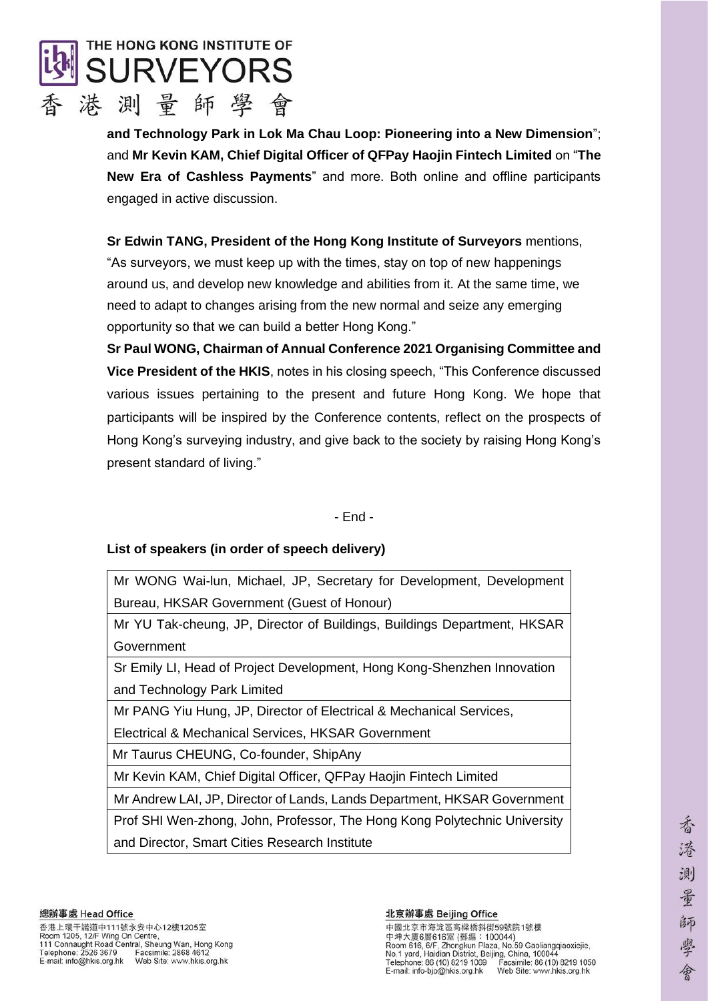

**and Technology Park in Lok Ma Chau Loop: Pioneering into a New Dimension**"; and **Mr Kevin KAM, Chief Digital Officer of QFPay Haojin Fintech Limited** on "**The New Era of Cashless Payments**" and more. Both online and offline participants engaged in active discussion.

**Sr Edwin TANG, President of the Hong Kong Institute of Surveyors** mentions, "As surveyors, we must keep up with the times, stay on top of new happenings around us, and develop new knowledge and abilities from it. At the same time, we need to adapt to changes arising from the new normal and seize any emerging opportunity so that we can build a better Hong Kong."

**Sr Paul WONG, Chairman of Annual Conference 2021 Organising Committee and Vice President of the HKIS**, notes in his closing speech, "This Conference discussed various issues pertaining to the present and future Hong Kong. We hope that participants will be inspired by the Conference contents, reflect on the prospects of Hong Kong's surveying industry, and give back to the society by raising Hong Kong's present standard of living."

- End -

# **List of speakers (in order of speech delivery)**

Mr WONG Wai-lun, Michael, JP, Secretary for Development, Development Bureau, HKSAR Government (Guest of Honour)

Mr YU Tak-cheung, JP, Director of Buildings, Buildings Department, HKSAR Government

Sr Emily LI, Head of Project Development, Hong Kong-Shenzhen Innovation and Technology Park Limited

Mr PANG Yiu Hung, JP, Director of Electrical & Mechanical Services,

Electrical & Mechanical Services, HKSAR Government

Mr Taurus CHEUNG, Co-founder, ShipAny

Mr Kevin KAM, Chief Digital Officer, QFPay Haojin Fintech Limited

Mr Andrew LAI, JP, Director of Lands, Lands Department, HKSAR Government

Prof SHI Wen-zhong, John, Professor, The Hong Kong Polytechnic University and Director, Smart Cities Research Institute

### 北京辦事處 Beijing Office

中國北京市海淀區高樑橋斜街59號院1號樓 中坤大廈6層616室 (郵編: 100044)<br>Room 616, 6/F, Zhongkun Plaza, No.59 Gaoliangqiaoxiejie, No.1 yard, Haidian District, Beijing, China, 100044<br>Telephone: 86 (10) 8219 1069 Facsimile: 86 (10) 8219 1050<br>E-mail: info-bjo@hkis.org.hk Web Site: www.hkis.org.hk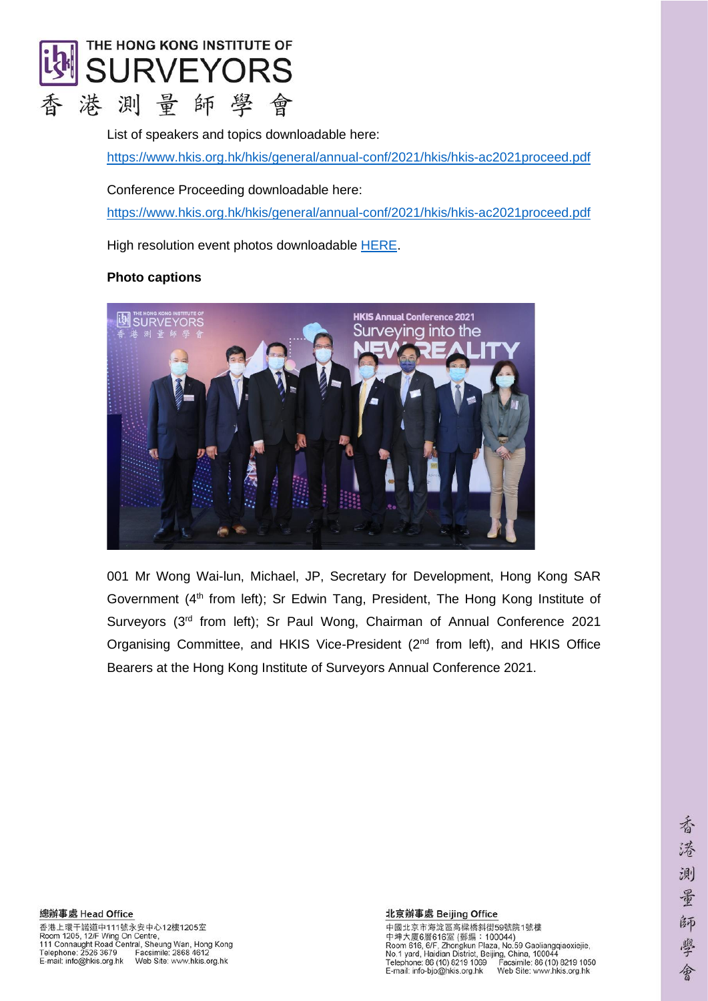

List of speakers and topics downloadable here: <https://www.hkis.org.hk/hkis/general/annual-conf/2021/hkis/hkis-ac2021proceed.pdf>

Conference Proceeding downloadable here:

<https://www.hkis.org.hk/hkis/general/annual-conf/2021/hkis/hkis-ac2021proceed.pdf>

High resolution event photos downloadable [HERE.](https://drive.google.com/drive/folders/1jbgxj44jXYJCRacqKgEPDitjdMiZL-3c?usp=sharing)

# **Photo captions**



001 Mr Wong Wai-lun, Michael, JP, Secretary for Development, Hong Kong SAR Government (4<sup>th</sup> from left); Sr Edwin Tang, President, The Hong Kong Institute of Surveyors (3<sup>rd</sup> from left); Sr Paul Wong, Chairman of Annual Conference 2021 Organising Committee, and HKIS Vice-President (2<sup>nd</sup> from left), and HKIS Office Bearers at the Hong Kong Institute of Surveyors Annual Conference 2021.

#### 北京辦事處 Beijing Office

中國北京市海淀區高樑橋斜街59號院1號樓 中国大廈6周616室 (郵編:100044)<br>Room 616, 6/F, Zhongkun Plaza, No.59 Gaoliangqiaoxiejie,<br>Room 616, 6/F, Zhongkun Plaza, No.59 Gaoliangqiaoxiejie,<br>No.1 yard, Haidian District, Beijing, China, 100044<br>Telephone: 86 (10) 8219 1069 Fac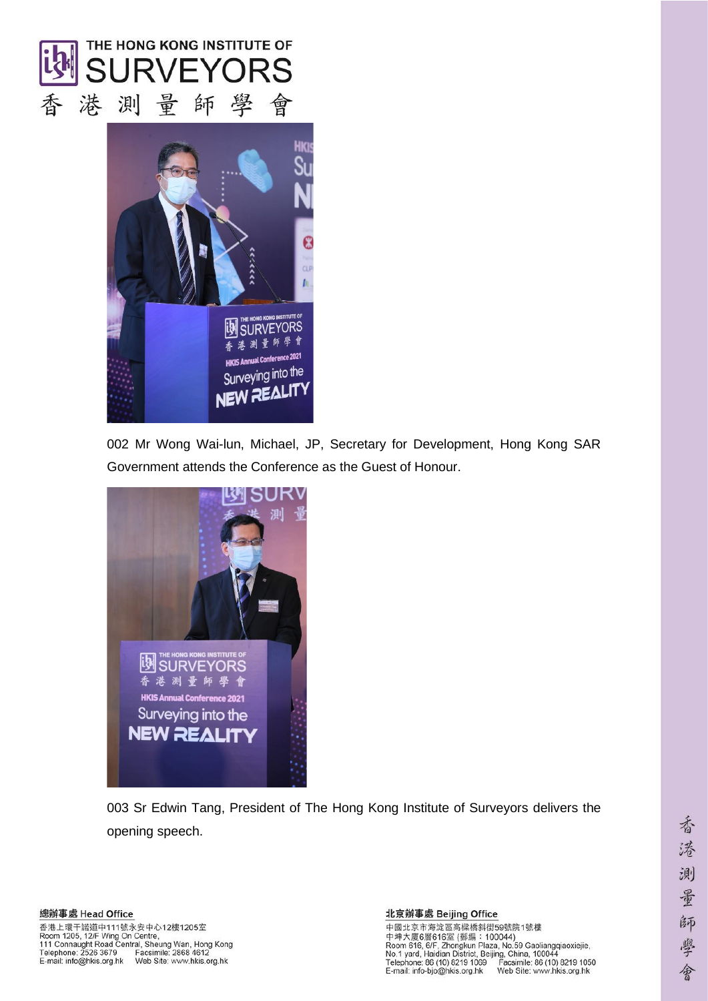



002 Mr Wong Wai-lun, Michael, JP, Secretary for Development, Hong Kong SAR Government attends the Conference as the Guest of Honour.



003 Sr Edwin Tang, President of The Hong Kong Institute of Surveyors delivers the opening speech.

中國北京市海淀區高樑橋斜街59號院1號樓 中興大廈6層616室 (郵編 : 100044)<br>Room 616, 6/F, Zhongkun Plaza, No.59 Gaoliangqiaoxiejie,<br>Room 616, 6/F, Zhongkun Plaza, No.59 Gaoliangqiaoxiejie,<br>No.1 yard, Haidian District, Beijing, China, 100044<br>Telephone: 86 (10) 8219 1069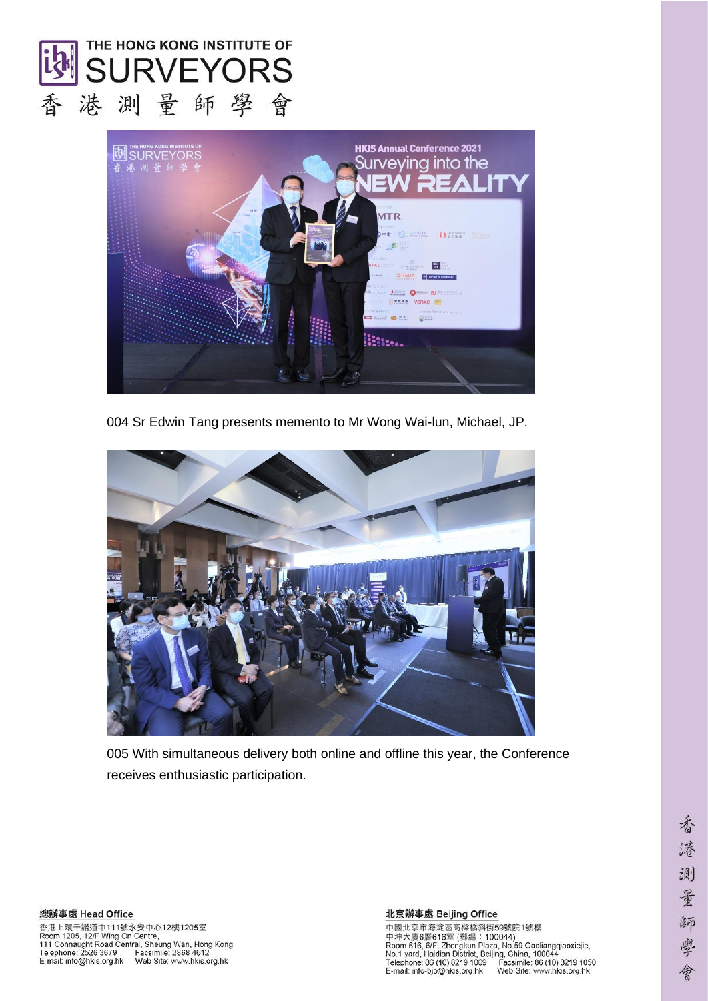



004 Sr Edwin Tang presents memento to Mr Wong Wai-lun, Michael, JP.



005 With simultaneous delivery both online and offline this year, the Conference receives enthusiastic participation.

總辦事處 Head Office 香港上環干諾道中111號永安中心12樓1205室<br>Room 1205, 12/F Wing On Centre,<br>111 Connaught Road Central, Sheung Wan, Hong Kong<br>Telephone: 2526 3679 Facsimile: 2868 4612<br>E-mail: info@hkis.org.hk Web Site: www.hkis.org.hk

### 北京辦事處 Beijing Office

中國北京市海淀區高樑橋斜街59號院1號樓 中興大廈6層616室 (郵編 : 100044)<br>Room 616, 6/F, Zhongkun Plaza, No.59 Gaoliangqiaoxiejie,<br>Room 616, 6/F, Zhongkun Plaza, No.59 Gaoliangqiaoxiejie,<br>No.1 yard, Haidian District, Beijing, China, 100044<br>Telephone: 86 (10) 8219 1069